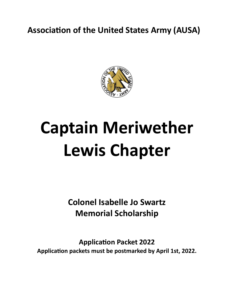**Association of the United States Army (AUSA)**



# **Captain Meriwether Lewis Chapter**

**Colonel Isabelle Jo Swartz Memorial Scholarship** 

**Application Packet 2022 Application packets must be postmarked by April 1st, 2022.**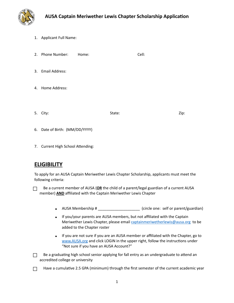

- 1. Applicant Full Name:
- 2. Phone Number: Home: Cell:
- 3. Email Address:
- 4. Home Address:
- 5. City: State: Zip:
- 6. Date of Birth: (MM/DD/YYYY)
- 7. Current High School Attending:

## **ELIGIBILITY**

To apply for an AUSA Captain Meriwether Lewis Chapter Scholarship, applicants must meet the following criteria:

□ Be a current member of AUSA (**OR** the child of a parent/legal guardian of a current AUSA member) **AND** affiliated with the Captain Meriwether Lewis Chapter

- AUSA Membership # \_\_\_\_\_\_\_\_\_\_\_\_\_\_\_\_\_\_\_\_\_\_ (circle one: self or parent/guardian)
- **EXEDENT IF YOU/your parents are AUSA members, but not affiliated with the Captain** Meriwether Lewis Chapter, please email [captainmeriwetherlewis@ausa.org](mailto:captainmeriwetherlewis@ausa.org) to be added to the Chapter roster
- **EXECT** If you are not sure if you are an AUSA member or affiliated with the Chapter, go to [www.AUSA.org](http://www.AUSA.org) and click LOGIN in the upper right, follow the instructions under "Not sure if you have an AUSA Account?"

 $\Box$  Be a graduating high school senior applying for fall entry as an undergraduate to attend an accredited college or university

 $\Box$  Have a cumulative 2.5 GPA (minimum) through the first semester of the current academic year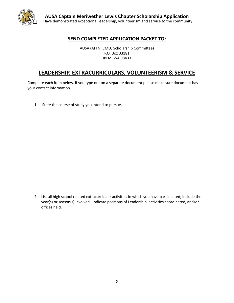

#### **SEND COMPLETED APPLICATION PACKET TO:**

AUSA (ATTN: CMLC Scholarship Committee) P.O. Box 33181 JBLM, WA 98433

## **LEADERSHIP, EXTRACURRICULARS, VOLUNTEERISM & SERVICE**

Complete each item below. If you type out on a separate document please make sure document has your contact information.

1. State the course of study you intend to pursue.

2. List all high school related extracurricular activities in which you have participated; include the year(s) or season(s) involved. Indicate positions of Leadership, activities coordinated, and/or offices held.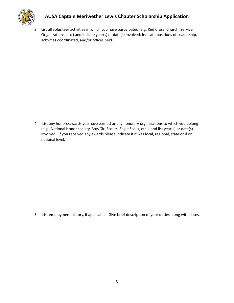

#### **AUSA Captain Meriwether Lewis Chapter Scholarship Application**

3. List all volunteer activities in which you have participated (e.g. Red Cross, Church, Service Organizations, etc.) and include year(s) or date(s) involved. Indicate positions of Leadership, activities coordinated, and/or offices held.

4. List any honors/awards you have earned or any honorary organizations to which you belong (e.g., National Honor society, Boy/Girl Scouts, Eagle Scout, etc.), and list year(s) or date(s) involved. If you received any awards please indicate if it was local, regional, state or if on national level.

5. List employment history, if applicable. Give brief description of your duties along with dates.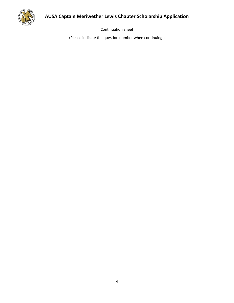

Continuation Sheet

(Please indicate the question number when continuing.)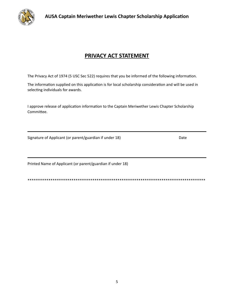



# **PRIVACY ACT STATEMENT**

The Privacy Act of 1974 (5 USC Sec 522) requires that you be informed of the following information.

The information supplied on this application is for local scholarship consideration and will be used in selecting individuals for awards.

I approve release of application information to the Captain Meriwether Lewis Chapter Scholarship Committee.

Signature of Applicant (or parent/guardian if under 18)

Date

Printed Name of Applicant (or parent/guardian if under 18)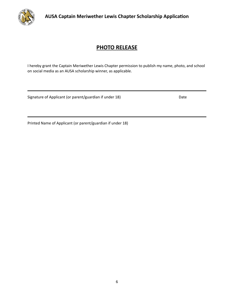

# **PHOTO RELEASE**

I hereby grant the Captain Meriwether Lewis Chapter permission to publish my name, photo, and school on social media as an AUSA scholarship winner, as applicable.

Signature of Applicant (or parent/guardian if under 18) Date

Printed Name of Applicant (or parent/guardian if under 18)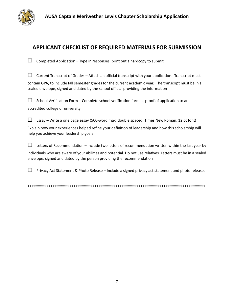

### **APPLICANT CHECKLIST OF REQUIRED MATERIALS FOR SUBMISSION**

| $\Box$ Completed Application – Type in responses, print out a hardcopy to submit |  |  |
|----------------------------------------------------------------------------------|--|--|

| $\Box$ Current Transcript of Grades – Attach an official transcript with your application. Transcript must                                                                                    |
|-----------------------------------------------------------------------------------------------------------------------------------------------------------------------------------------------|
| contain GPA, to include fall semester grades for the current academic year. The transcript must be in a<br>sealed envelope, signed and dated by the school official providing the information |

| $\Box$ School Verification Form – Complete school verification form as proof of application to an |  |  |  |
|---------------------------------------------------------------------------------------------------|--|--|--|
| accredited college or university                                                                  |  |  |  |

| <b>ESSAV</b> – Write a one page essay (500-word max, double spaced, Times New Roman, 12 pt font)       |  |
|--------------------------------------------------------------------------------------------------------|--|
| Explain how your experiences helped refine your definition of leadership and how this scholarship will |  |
| help you achieve your leadership goals                                                                 |  |

| $\Box$ Letters of Recommendation – Include two letters of recommendation written within the last year by |  |
|----------------------------------------------------------------------------------------------------------|--|
|----------------------------------------------------------------------------------------------------------|--|

individuals who are aware of your abilities and potential. Do not use relatives. Letters must be in a sealed envelope, signed and dated by the person providing the recommendation

 $\Box$  Privacy Act Statement & Photo Release – Include a signed privacy act statement and photo release.